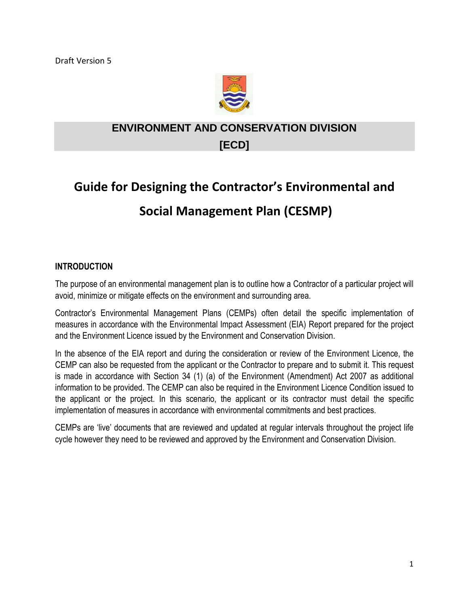

## **ENVIRONMENT AND CONSERVATION DIVISION [ECD]**

# **Guide for Designing the Contractor's Environmental and Social Management Plan (CESMP)**

#### **INTRODUCTION**

The purpose of an environmental management plan is to outline how a Contractor of a particular project will avoid, minimize or mitigate effects on the environment and surrounding area.

Contractor's Environmental Management Plans (CEMPs) often detail the specific implementation of measures in accordance with the Environmental Impact Assessment (EIA) Report prepared for the project and the Environment Licence issued by the Environment and Conservation Division.

In the absence of the EIA report and during the consideration or review of the Environment Licence, the CEMP can also be requested from the applicant or the Contractor to prepare and to submit it. This request is made in accordance with Section 34 (1) (a) of the Environment (Amendment) Act 2007 as additional information to be provided. The CEMP can also be required in the Environment Licence Condition issued to the applicant or the project. In this scenario, the applicant or its contractor must detail the specific implementation of measures in accordance with environmental commitments and best practices.

CEMPs are 'live' documents that are reviewed and updated at regular intervals throughout the project life cycle however they need to be reviewed and approved by the Environment and Conservation Division.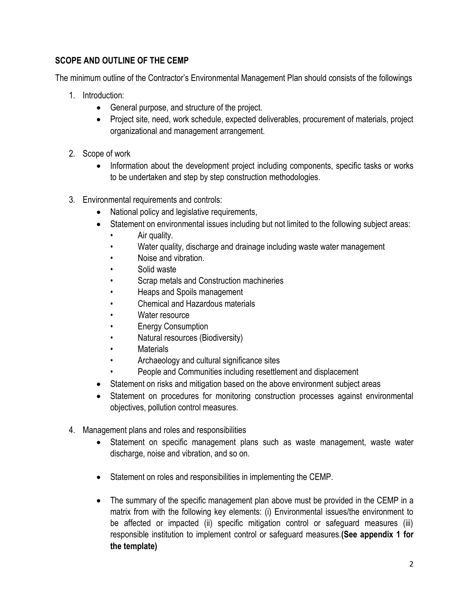#### **SCOPE AND OUTLINE OF THE CEMP**

The minimum outline of the Contractor's Environmental Management Plan should consists of the followings

- 1. Introduction:
	- General purpose, and structure of the project.
	- Project site, need, work schedule, expected deliverables, procurement of materials, project organizational and management arrangement.
- 2. Scope of work
	- Information about the development project including components, specific tasks or works to be undertaken and step by step construction methodologies.
- 3. Environmental requirements and controls:
	- National policy and legislative requirements,
	- Statement on environmental issues including but not limited to the following subject areas:
		- Air quality.
		- Water quality, discharge and drainage including waste water management
		- Noise and vibration.
		- Solid waste
		- Scrap metals and Construction machineries
		- Heaps and Spoils management
		- Chemical and Hazardous materials
		- Water resource
		- **Energy Consumption**
		- Natural resources (Biodiversity)
		- **Materials**
		- Archaeology and cultural significance sites
		- People and Communities including resettlement and displacement
	- Statement on risks and mitigation based on the above environment subject areas
	- Statement on procedures for monitoring construction processes against environmental objectives, pollution control measures.
- 4. Management plans and roles and responsibilities
	- Statement on specific management plans such as waste management, waste water discharge, noise and vibration, and so on.
	- Statement on roles and responsibilities in implementing the CEMP.
	- The summary of the specific management plan above must be provided in the CEMP in a matrix from with the following key elements: (i) Environmental issues/the environment to be affected or impacted (ii) specific mitigation control or safeguard measures (iii) responsible institution to implement control or safeguard measures.**(See appendix 1 for the template)**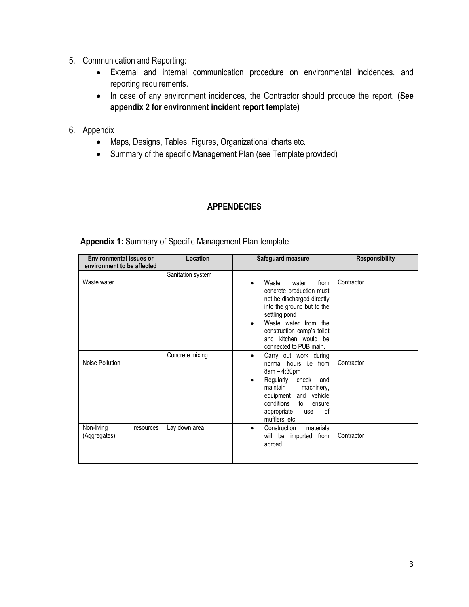- 5. Communication and Reporting:
	- External and internal communication procedure on environmental incidences, and reporting requirements.
	- In case of any environment incidences, the Contractor should produce the report. **(See appendix 2 for environment incident report template)**
- 6. Appendix
	- Maps, Designs, Tables, Figures, Organizational charts etc.
	- Summary of the specific Management Plan (see Template provided)

#### **APPENDECIES**

**Appendix 1:** Summary of Specific Management Plan template

| <b>Environmental issues or</b><br>environment to be affected | Location          | Safeguard measure                                                                                                                                                                                                                                    | <b>Responsibility</b> |
|--------------------------------------------------------------|-------------------|------------------------------------------------------------------------------------------------------------------------------------------------------------------------------------------------------------------------------------------------------|-----------------------|
| Waste water                                                  | Sanitation system | Waste<br>from<br>water<br>concrete production must<br>not be discharged directly<br>into the ground but to the<br>settling pond<br>Waste water from the<br>construction camp's toilet<br>and kitchen would be<br>connected to PUB main.              | Contractor            |
| Noise Pollution                                              | Concrete mixing   | Carry out work during<br>$\bullet$<br>normal hours <i>i.e</i> from<br>8am - 4:30pm<br>Regularly<br>check<br>and<br>maintain<br>machinery,<br>vehicle<br>and<br>equipment<br>conditions<br>to<br>ensure<br>οf<br>appropriate<br>use<br>mufflers, etc. | Contractor            |
| Non-living<br>resources<br>(Aggregates)                      | Lay down area     | materials<br>Construction<br>$\bullet$<br>will be imported from<br>abroad                                                                                                                                                                            | Contractor            |